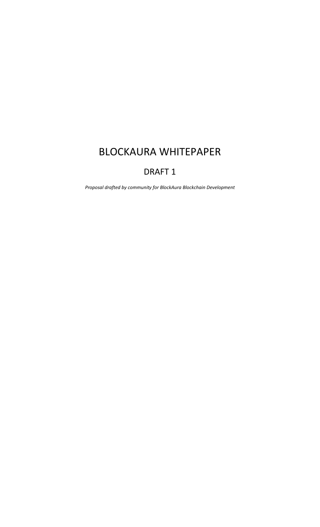# BLOCKAURA WHITEPAPER

## DRAFT 1

*Proposal drafted by community for BlockAura Blockchain Development*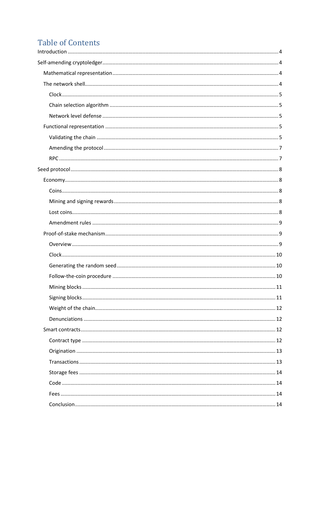# **Table of Contents**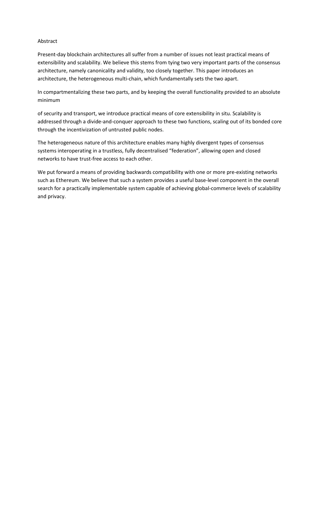### Abstract

Present-day blockchain architectures all suffer from a number of issues not least practical means of extensibility and scalability. We believe this stems from tying two very important parts of the consensus architecture, namely canonicality and validity, too closely together. This paper introduces an architecture, the heterogeneous multi-chain, which fundamentally sets the two apart.

In compartmentalizing these two parts, and by keeping the overall functionality provided to an absolute minimum

of security and transport, we introduce practical means of core extensibility in situ. Scalability is addressed through a divide-and-conquer approach to these two functions, scaling out of its bonded core through the incentivization of untrusted public nodes.

The heterogeneous nature of this architecture enables many highly divergent types of consensus systems interoperating in a trustless, fully decentralised "federation", allowing open and closed networks to have trust-free access to each other.

We put forward a means of providing backwards compatibility with one or more pre-existing networks such as Ethereum. We believe that such a system provides a useful base-level component in the overall search for a practically implementable system capable of achieving global-commerce levels of scalability and privacy.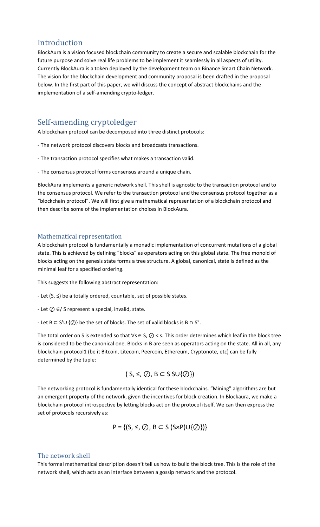### <span id="page-3-0"></span>Introduction

BlockAura is a vision focused blockchain community to create a secure and scalable blockchain for the future purpose and solve real life problems to be implement it seamlessly in all aspects of utility. Currently BlockAura is a token deployed by the development team on Binance Smart Chain Network. The vision for the blockchain development and community proposal is been drafted in the proposal below. In the first part of this paper, we will discuss the concept of abstract blockchains and the implementation of a self-amending crypto-ledger.

## <span id="page-3-1"></span>Self-amending cryptoledger

A blockchain protocol can be decomposed into three distinct protocols:

- The network protocol discovers blocks and broadcasts transactions.
- The transaction protocol specifies what makes a transaction valid.
- The consensus protocol forms consensus around a unique chain.

BlockAura implements a generic network shell. This shell is agnostic to the transaction protocol and to the consensus protocol. We refer to the transaction protocol and the consensus protocol together as a "blockchain protocol". We will first give a mathematical representation of a blockchain protocol and then describe some of the implementation choices in BlockAura.

### <span id="page-3-2"></span>Mathematical representation

A blockchain protocol is fundamentally a monadic implementation of concurrent mutations of a global state. This is achieved by defining "blocks" as operators acting on this global state. The free monoid of blocks acting on the genesis state forms a tree structure. A global, canonical, state is defined as the minimal leaf for a specified ordering.

This suggests the following abstract representation:

- Let (S, ≤) be a totally ordered, countable, set of possible states.
- Let ⊘ ∈/ S represent a special, invalid, state.
- Let B ⊂ S**<sup>s</sup>** ∪ {⊘} be the set of blocks. The set of valid blocks is B ∩ Ss .

The total order on S is extended so that ∀s  $\in$  S,  $\oslash$  < s. This order determines which leaf in the block tree is considered to be the canonical one. Blocks in B are seen as operators acting on the state. All in all, any blockchain protocol1 (be it Bitcoin, Litecoin, Peercoin, Ethereum, Cryptonote, etc) can be fully determined by the tuple:

$$
(S, \leq, \oslash, B \subset S SU\{\oslash\})
$$

The networking protocol is fundamentally identical for these blockchains. "Mining" algorithms are but an emergent property of the network, given the incentives for block creation. In Blockaura, we make a blockchain protocol introspective by letting blocks act on the protocol itself. We can then express the set of protocols recursively as:

P = { $(S, ≤, ∅, B ⊂ S (S × P) ∪ {@}}$ 

### <span id="page-3-3"></span>The network shell

This formal mathematical description doesn't tell us how to build the block tree. This is the role of the network shell, which acts as an interface between a gossip network and the protocol.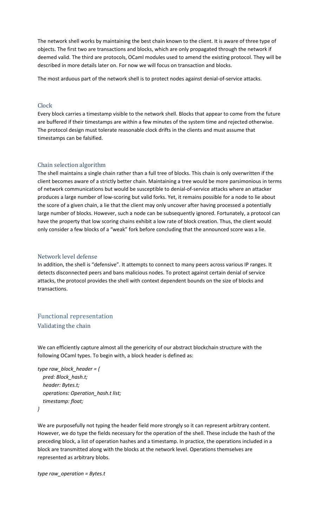The network shell works by maintaining the best chain known to the client. It is aware of three type of objects. The first two are transactions and blocks, which are only propagated through the network if deemed valid. The third are protocols, OCaml modules used to amend the existing protocol. They will be described in more details later on. For now we will focus on transaction and blocks.

The most arduous part of the network shell is to protect nodes against denial-of-service attacks.

### <span id="page-4-0"></span>Clock

Every block carries a timestamp visible to the network shell. Blocks that appear to come from the future are buffered if their timestamps are within a few minutes of the system time and rejected otherwise. The protocol design must tolerate reasonable clock drifts in the clients and must assume that timestamps can be falsified.

### <span id="page-4-1"></span>Chain selection algorithm

The shell maintains a single chain rather than a full tree of blocks. This chain is only overwritten if the client becomes aware of a strictly better chain. Maintaining a tree would be more parsimonious in terms of network communications but would be susceptible to denial-of-service attacks where an attacker produces a large number of low-scoring but valid forks. Yet, it remains possible for a node to lie about the score of a given chain, a lie that the client may only uncover after having processed a potentially large number of blocks. However, such a node can be subsequently ignored. Fortunately, a protocol can have the property that low scoring chains exhibit a low rate of block creation. Thus, the client would only consider a few blocks of a "weak" fork before concluding that the announced score was a lie.

#### <span id="page-4-2"></span>Network level defense

In addition, the shell is "defensive". It attempts to connect to many peers across various IP ranges. It detects disconnected peers and bans malicious nodes. To protect against certain denial of service attacks, the protocol provides the shell with context dependent bounds on the size of blocks and transactions.

### <span id="page-4-4"></span><span id="page-4-3"></span>Functional representation Validating the chain

We can efficiently capture almost all the genericity of our abstract blockchain structure with the following OCaml types. To begin with, a block header is defined as:

```
type raw_block_header = { 
   pred: Block_hash.t; 
   header: Bytes.t; 
   operations: Operation_hash.t list; 
   timestamp: float; 
}
```
We are purposefully not typing the header field more strongly so it can represent arbitrary content. However, we do type the fields necessary for the operation of the shell. These include the hash of the preceding block, a list of operation hashes and a timestamp. In practice, the operations included in a block are transmitted along with the blocks at the network level. Operations themselves are represented as arbitrary blobs.

*type raw\_operation = Bytes.t*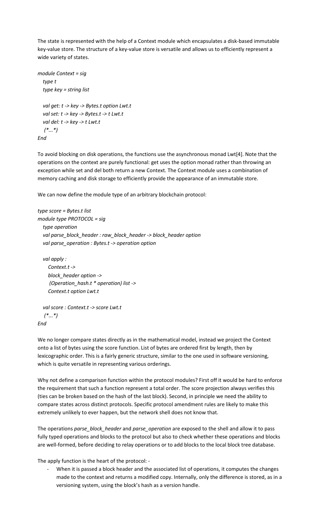The state is represented with the help of a Context module which encapsulates a disk-based immutable key-value store. The structure of a key-value store is versatile and allows us to efficiently represent a wide variety of states.

```
module Context = sig
   type t
   type key = string list
   val get: t -> key -> Bytes.t option Lwt.t
   val set: t -> key -> Bytes.t -> t Lwt.t
   val del: t -> key -> t Lwt.t
    (*...*)
End
```
To avoid blocking on disk operations, the functions use the asynchronous monad Lwt[4]. Note that the operations on the context are purely functional: get uses the option monad rather than throwing an exception while set and del both return a new Context. The Context module uses a combination of memory caching and disk storage to efficiently provide the appearance of an immutable store.

We can now define the module type of an arbitrary blockchain protocol:

```
type score = Bytes.t list
module type PROTOCOL = sig
   type operation
   val parse_block_header : raw_block_header -> block_header option
   val parse_operation : Bytes.t -> operation option
   val apply :
     Context.t ->
     block_header option ->
      (Operation_hash.t * operation) list ->
     Context.t option Lwt.t
```

```
 val score : Context.t -> score Lwt.t
    (*...*)
End
```
We no longer compare states directly as in the mathematical model, instead we project the Context onto a list of bytes using the score function. List of bytes are ordered first by length, then by lexicographic order. This is a fairly generic structure, similar to the one used in software versioning, which is quite versatile in representing various orderings.

Why not define a comparison function within the protocol modules? First off it would be hard to enforce the requirement that such a function represent a total order. The score projection always verifies this (ties can be broken based on the hash of the last block). Second, in principle we need the ability to compare states across distinct protocols. Specific protocol amendment rules are likely to make this extremely unlikely to ever happen, but the network shell does not know that.

The operations *parse\_block\_header* and *parse\_operation* are exposed to the shell and allow it to pass fully typed operations and blocks to the protocol but also to check whether these operations and blocks are well-formed, before deciding to relay operations or to add blocks to the local block tree database.

The apply function is the heart of the protocol: -

When it is passed a block header and the associated list of operations, it computes the changes made to the context and returns a modified copy. Internally, only the difference is stored, as in a versioning system, using the block's hash as a version handle.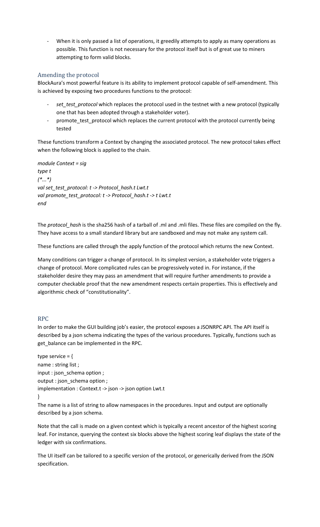When it is only passed a list of operations, it greedily attempts to apply as many operations as possible. This function is not necessary for the protocol itself but is of great use to miners attempting to form valid blocks.

### <span id="page-6-0"></span>Amending the protocol

BlockAura's most powerful feature is its ability to implement protocol capable of self-amendment. This is achieved by exposing two procedures functions to the protocol:

- set\_test\_protocol which replaces the protocol used in the testnet with a new protocol (typically one that has been adopted through a stakeholder voter).
- promote\_test\_protocol which replaces the current protocol with the protocol currently being tested

These functions transform a Context by changing the associated protocol. The new protocol takes effect when the following block is applied to the chain.

```
module Context = sig
type t
(*...*)
val set_test_protocol: t -> Protocol_hash.t Lwt.t
val promote_test_protocol: t -> Protocol_hash.t -> t Lwt.t
end
```
The *protocol\_hash* is the sha256 hash of a tarball of .ml and .mli files. These files are compiled on the fly. They have access to a small standard library but are sandboxed and may not make any system call.

These functions are called through the apply function of the protocol which returns the new Context.

Many conditions can trigger a change of protocol. In its simplest version, a stakeholder vote triggers a change of protocol. More complicated rules can be progressively voted in. For instance, if the stakeholder desire they may pass an amendment that will require further amendments to provide a computer checkable proof that the new amendment respects certain properties. This is effectively and algorithmic check of "constitutionality".

### <span id="page-6-1"></span>RPC

In order to make the GUI building job's easier, the protocol exposes a JSONRPC API. The API itself is described by a json schema indicating the types of the various procedures. Typically, functions such as get\_balance can be implemented in the RPC.

type service  $=$  { name : string list ; input : json\_schema option ; output : json\_schema option ; implementation : Context.t -> json -> json option Lwt.t }

The name is a list of string to allow namespaces in the procedures. Input and output are optionally described by a json schema.

Note that the call is made on a given context which is typically a recent ancestor of the highest scoring leaf. For instance, querying the context six blocks above the highest scoring leaf displays the state of the ledger with six confirmations.

The UI itself can be tailored to a specific version of the protocol, or generically derived from the JSON specification.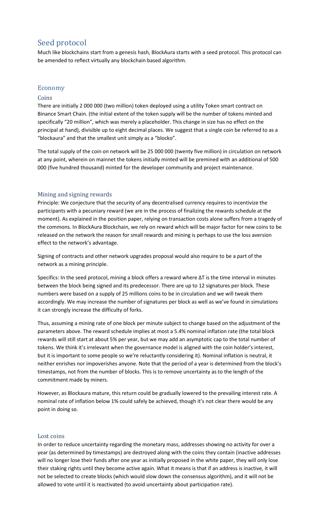### <span id="page-7-0"></span>Seed protocol

Much like blockchains start from a genesis hash, BlockAura starts with a seed protocol. This protocol can be amended to reflect virtually any blockchain based algorithm.

### <span id="page-7-1"></span>Economy

### <span id="page-7-2"></span>Coins

There are initially 2 000 000 (two million) token deployed using a utility Token smart contract on Binance Smart Chain. (the initial extent of the token supply will be the number of tokens minted and specifically "20 million", which was merely a placeholder. This change in size has no effect on the principal at hand), divisible up to eight decimal places. We suggest that a single coin be referred to as a "blockaura" and that the smallest unit simply as a "blocko".

The total supply of the coin on network will be 25 000 000 (twenty five million) in circulation on network at any point, wherein on mainnet the tokens initially minted will be premined with an additional of 500 000 (five hundred thousand) minted for the developer community and project maintenance.

### <span id="page-7-3"></span>Mining and signing rewards

Principle: We conjecture that the security of any decentralised currency requires to incentivize the participants with a pecuniary reward (we are in the process of finalizing the rewards schedule at the moment). As explained in the position paper, relying on transaction costs alone suffers from a tragedy of the commons. In BlockAura Blockchain, we rely on reward which will be major factor for new coins to be released on the network the reason for small rewards and mining is perhaps to use the loss aversion effect to the network's advantage.

Signing of contracts and other network upgrades proposal would also require to be a part of the network as a mining principle.

Specifics: In the seed protocol, mining a block offers a reward where ∆T is the time interval in minutes between the block being signed and its predecessor. There are up to 12 signatures per block. These numbers were based on a supply of 25 millions coins to be in circulation and we will tweak them accordingly. We may increase the number of signatures per block as well as we've found in simulations it can strongly increase the difficulty of forks.

Thus, assuming a mining rate of one block per minute subject to change based on the adjustment of the parameters above. The reward schedule implies at most a 5.4% nominal inflation rate (the total block rewards will still start at about 5% per year, but we may add an asymptotic cap to the total number of tokens. We think it's irrelevant when the governance model is aligned with the coin holder's interest, but it is important to some people so we're reluctantly considering it). Nominal inflation is neutral, it neither enrishes nor impoverishes anyone. Note that the period of a year is determined from the block's timestamps, not from the number of blocks. This is to remove uncertainty as to the length of the commitment made by miners.

However, as Blockaura mature, this return could be gradually lowered to the prevailing interest rate. A nominal rate of inflation below 1% could safely be achieved, though it's not clear there would be any point in doing so.

#### <span id="page-7-4"></span>Lost coins

In order to reduce uncertainty regarding the monetary mass, addresses showing no activity for over a year (as determined by timestamps) are destroyed along with the coins they contain (inactive addresses will no longer lose their funds after one year as initially proposed in the white paper, they will only lose their staking rights until they become active again. What it means is that if an address is inactive, it will not be selected to create blocks (which would slow down the consensus algorithm), and it will not be allowed to vote until it is reactivated (to avoid uncertainty about participation rate).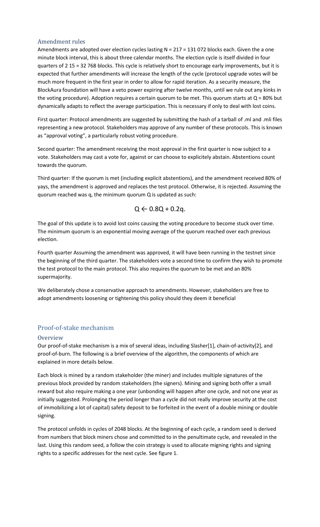### <span id="page-8-0"></span>Amendment rules

Amendments are adopted over election cycles lasting  $N = 217 = 131072$  blocks each. Given the a one minute block interval, this is about three calendar months. The election cycle is itself divided in four quarters of 2 15 = 32 768 blocks. This cycle is relatively short to encourage early improvements, but it is expected that further amendments will increase the length of the cycle (protocol upgrade votes will be much more frequent in the first year in order to allow for rapid iteration. As a security measure, the BlockAura foundation will have a veto power expiring after twelve months, until we rule out any kinks in the voting procedure). Adoption requires a certain quorum to be met. This quorum starts at  $Q = 80\%$  but dynamically adapts to reflect the average participation. This is necessary if only to deal with lost coins.

First quarter: Protocol amendments are suggested by submitting the hash of a tarball of .ml and .mli files representing a new protocol. Stakeholders may approve of any number of these protocols. This is known as "approval voting", a particularly robust voting procedure.

Second quarter: The amendment receiving the most approval in the first quarter is now subject to a vote. Stakeholders may cast a vote for, against or can choose to explicitely abstain. Abstentions count towards the quorum.

Third quarter: If the quorum is met (including explicit abstentions), and the amendment received 80% of yays, the amendment is approved and replaces the test protocol. Otherwise, it is rejected. Assuming the quorum reached was q, the minimum quorum Q is updated as such:

### $Q \leftarrow 0.8Q + 0.2q$ .

The goal of this update is to avoid lost coins causing the voting procedure to become stuck over time. The minimum quorum is an exponential moving average of the quorum reached over each previous election.

Fourth quarter Assuming the amendment was approved, it will have been running in the testnet since the beginning of the third quarter. The stakeholders vote a second time to confirm they wish to promote the test protocol to the main protocol. This also requires the quorum to be met and an 80% supermajority.

We deliberately chose a conservative approach to amendments. However, stakeholders are free to adopt amendments loosening or tightening this policy should they deem it beneficial

### <span id="page-8-1"></span>Proof-of-stake mechanism

### <span id="page-8-2"></span>**Overview**

Our proof-of-stake mechanism is a mix of several ideas, including Slasher[1], chain-of-activity[2], and proof-of-burn. The following is a brief overview of the algorithm, the components of which are explained in more details below.

Each block is mined by a random stakeholder (the miner) and includes multiple signatures of the previous block provided by random stakeholders (the signers). Mining and signing both offer a small reward but also require making a one year (unbonding will happen after one cycle, and not one year as initially suggested. Prolonging the period longer than a cycle did not really improve security at the cost of immobilizing a lot of capital) safety deposit to be forfeited in the event of a double mining or double signing.

The protocol unfolds in cycles of 2048 blocks. At the beginning of each cycle, a random seed is derived from numbers that block miners chose and committed to in the penultimate cycle, and revealed in the last. Using this random seed, a follow the coin strategy is used to allocate migning rights and signing rights to a specific addresses for the next cycle. See figure 1.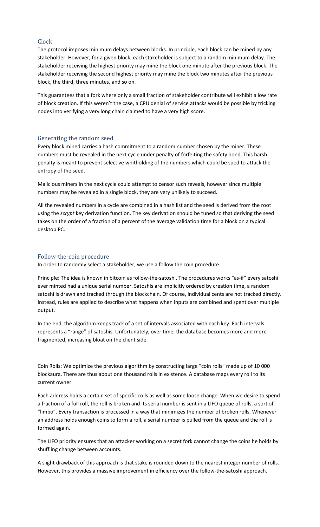### <span id="page-9-0"></span>Clock

The protocol imposes minimum delays between blocks. In principle, each block can be mined by any stakeholder. However, for a given block, each stakeholder is subject to a random minimum delay. The stakeholder receiving the highest priority may mine the block one minute after the previous block. The stakeholder receiving the second highest priority may mine the block two minutes after the previous block, the third, three minutes, and so on.

This guarantees that a fork where only a small fraction of stakeholder contribute will exhibit a low rate of block creation. If this weren't the case, a CPU denial of service attacks would be possible by tricking nodes into verifying a very long chain claimed to have a very high score.

### <span id="page-9-1"></span>Generating the random seed

Every block mined carries a hash commitment to a random number chosen by the miner. These numbers must be revealed in the next cycle under penalty of forfeiting the safety bond. This harsh penalty is meant to prevent selective whitholding of the numbers which could be sued to attack the entropy of the seed.

Malicious miners in the next cycle could attempt to censor such reveals, however since multiple numbers may be revealed in a single block, they are very unlikely to succeed.

All the revealed numbers in a cycle are combined in a hash list and the seed is derived from the root using the *scrypt* key derivation function. The key derivation should be tuned so that deriving the seed takes on the order of a fraction of a percent of the average validation time for a block on a typical desktop PC.

#### <span id="page-9-2"></span>Follow-the-coin procedure

In order to randomly select a stakeholder, we use a follow the coin procedure.

Principle: The idea is known in bitcoin as follow-the-satoshi. The procedures works "as-if" every satoshi ever minted had a unique serial number. Satoshis are implicitly ordered by creation time, a random satoshi is drawn and tracked through the blockchain. Of course, individual cents are not tracked directly. Instead, rules are applied to describe what happens when inputs are combined and spent over multiple output.

In the end, the algorithm keeps track of a set of intervals associated with each key. Each intervals represents a "range" of satoshis. Unfortunately, over time, the database becomes more and more fragmented, increasing bloat on the client side.

Coin Rolls: We optimize the previous algorithm by constructing large "coin rolls" made up of 10 000 blockaura. There are thus about one thousand rolls in existence. A database maps every roll to its current owner.

Each address holds a certain set of specific rolls as well as some loose change. When we desire to spend a fraction of a full roll, the roll is broken and its serial number is sent in a LIFO queue of rolls, a sort of "limbo". Every transaction is processed in a way that minimizes the number of broken rolls. Whenever an address holds enough coins to form a roll, a serial number is pulled from the queue and the roll is formed again.

The LIFO priority ensures that an attacker working on a secret fork cannot change the coins he holds by shuffling change between accounts.

A slight drawback of this approach is that stake is rounded down to the nearest integer number of rolls. However, this provides a massive improvement in efficiency over the follow-the-satoshi approach.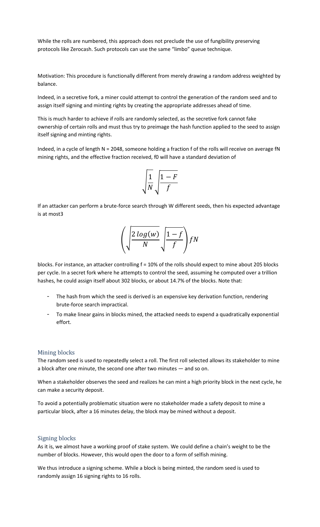While the rolls are numbered, this approach does not preclude the use of fungibility preserving protocols like Zerocash. Such protocols can use the same "limbo" queue technique.

Motivation: This procedure is functionally different from merely drawing a random address weighted by balance.

Indeed, in a secretive fork, a miner could attempt to control the generation of the random seed and to assign itself signing and minting rights by creating the appropriate addresses ahead of time.

This is much harder to achieve if rolls are randomly selected, as the secretive fork cannot fake ownership of certain rolls and must thus try to preimage the hash function applied to the seed to assign itself signing and minting rights.

Indeed, in a cycle of length N = 2048, someone holding a fraction f of the rolls will receive on average fN mining rights, and the effective fraction received, f0 will have a standard deviation of

$$
\sqrt{\frac{1}{N}}\sqrt{\frac{1-F}{f}}
$$

If an attacker can perform a brute-force search through W different seeds, then his expected advantage is at most3

$$
\left(\sqrt{\frac{2\log(w)}{N}}\sqrt{\frac{1-f}{f}}\right)fN
$$

blocks. For instance, an attacker controlling f = 10% of the rolls should expect to mine about 205 blocks per cycle. In a secret fork where he attempts to control the seed, assuming he computed over a trillion hashes, he could assign itself about 302 blocks, or about 14.7% of the blocks. Note that:

- The hash from which the seed is derived is an expensive key derivation function, rendering brute-force search impractical.
- To make linear gains in blocks mined, the attacked needs to expend a quadratically exponential effort.

### <span id="page-10-0"></span>Mining blocks

The random seed is used to repeatedly select a roll. The first roll selected allows its stakeholder to mine a block after one minute, the second one after two minutes — and so on.

When a stakeholder observes the seed and realizes he can mint a high priority block in the next cycle, he can make a security deposit.

To avoid a potentially problematic situation were no stakeholder made a safety deposit to mine a particular block, after a 16 minutes delay, the block may be mined without a deposit.

#### <span id="page-10-1"></span>Signing blocks

As it is, we almost have a working proof of stake system. We could define a chain's weight to be the number of blocks. However, this would open the door to a form of selfish mining.

We thus introduce a signing scheme. While a block is being minted, the random seed is used to randomly assign 16 signing rights to 16 rolls.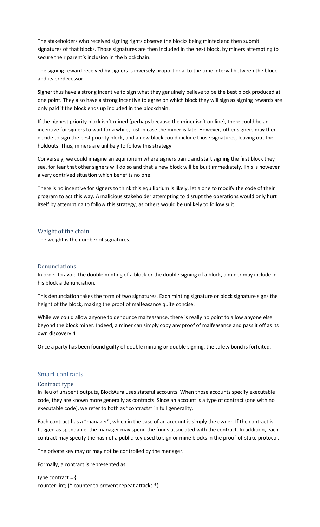The stakeholders who received signing rights observe the blocks being minted and then submit signatures of that blocks. Those signatures are then included in the next block, by miners attempting to secure their parent's inclusion in the blockchain.

The signing reward received by signers is inversely proportional to the time interval between the block and its predecessor.

Signer thus have a strong incentive to sign what they genuinely believe to be the best block produced at one point. They also have a strong incentive to agree on which block they will sign as signing rewards are only paid if the block ends up included in the blockchain.

If the highest priority block isn't mined (perhaps because the miner isn't on line), there could be an incentive for signers to wait for a while, just in case the miner is late. However, other signers may then decide to sign the best priority block, and a new block could include those signatures, leaving out the holdouts. Thus, miners are unlikely to follow this strategy.

Conversely, we could imagine an equilibrium where signers panic and start signing the first block they see, for fear that other signers will do so and that a new block will be built immediately. This is however a very contrived situation which benefits no one.

There is no incentive for signers to think this equilibrium is likely, let alone to modify the code of their program to act this way. A malicious stakeholder attempting to disrupt the operations would only hurt itself by attempting to follow this strategy, as others would be unlikely to follow suit.

<span id="page-11-0"></span>Weight of the chain The weight is the number of signatures.

#### <span id="page-11-1"></span>Denunciations

In order to avoid the double minting of a block or the double signing of a block, a miner may include in his block a denunciation.

This denunciation takes the form of two signatures. Each minting signature or block signature signs the height of the block, making the proof of malfeasance quite concise.

While we could allow anyone to denounce malfeasance, there is really no point to allow anyone else beyond the block miner. Indeed, a miner can simply copy any proof of malfeasance and pass it off as its own discovery.4

Once a party has been found guilty of double minting or double signing, the safety bond is forfeited.

### <span id="page-11-2"></span>Smart contracts

#### <span id="page-11-3"></span>Contract type

In lieu of unspent outputs, BlockAura uses stateful accounts. When those accounts specify executable code, they are known more generally as contracts. Since an account is a type of contract (one with no executable code), we refer to both as "contracts" in full generality.

Each contract has a "manager", which in the case of an account is simply the owner. If the contract is flagged as spendable, the manager may spend the funds associated with the contract. In addition, each contract may specify the hash of a public key used to sign or mine blocks in the proof-of-stake protocol.

The private key may or may not be controlled by the manager.

Formally, a contract is represented as:

type contract =  $\{$ counter: int; (\* counter to prevent repeat attacks \*)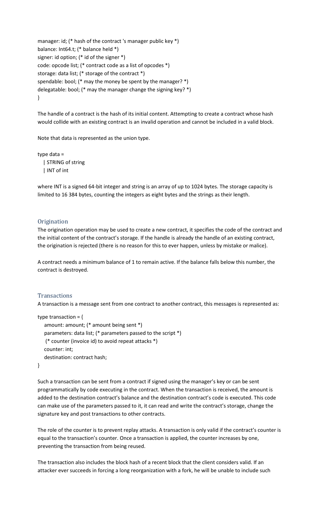```
manager: id; (* hash of the contract 's manager public key *)
balance: Int64.t; (* balance held *)
signer: id option; (* id of the signer *)
code: opcode list; (* contract code as a list of opcodes *)
storage: data list; (* storage of the contract *)
spendable: bool; (* may the money be spent by the manager? *)
delegatable: bool; (* may the manager change the signing key? *)
}
```
The handle of a contract is the hash of its initial content. Attempting to create a contract whose hash would collide with an existing contract is an invalid operation and cannot be included in a valid block.

Note that data is represented as the union type.

type data = | STRING of string | INT of int

where INT is a signed 64-bit integer and string is an array of up to 1024 bytes. The storage capacity is limited to 16 384 bytes, counting the integers as eight bytes and the strings as their length.

### <span id="page-12-0"></span>**Origination**

The origination operation may be used to create a new contract, it specifies the code of the contract and the initial content of the contract's storage. If the handle is already the handle of an existing contract, the origination is rejected (there is no reason for this to ever happen, unless by mistake or malice).

A contract needs a minimum balance of 1 to remain active. If the balance falls below this number, the contract is destroyed.

### <span id="page-12-1"></span>**Transactions**

A transaction is a message sent from one contract to another contract, this messages is represented as:

```
type transaction = {
   amount: amount; (* amount being sent *)
   parameters: data list; (* parameters passed to the script *)
    (* counter (invoice id) to avoid repeat attacks *)
   counter: int;
   destination: contract hash;
}
```
Such a transaction can be sent from a contract if signed using the manager's key or can be sent programmatically by code executing in the contract. When the transaction is received, the amount is added to the destination contract's balance and the destination contract's code is executed. This code can make use of the parameters passed to it, it can read and write the contract's storage, change the signature key and post transactions to other contracts.

The role of the counter is to prevent replay attacks. A transaction is only valid if the contract's counter is equal to the transaction's counter. Once a transaction is applied, the counter increases by one, preventing the transaction from being reused.

The transaction also includes the block hash of a recent block that the client considers valid. If an attacker ever succeeds in forcing a long reorganization with a fork, he will be unable to include such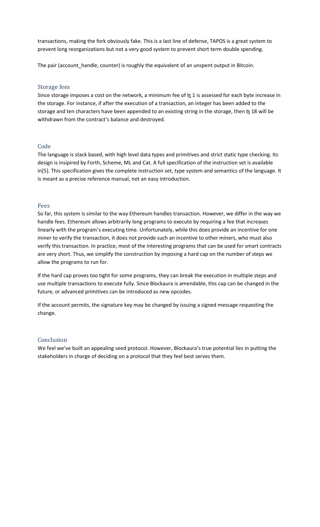transactions, making the fork obviously fake. This is a last line of defense, TAPOS is a great system to prevent long reorganizations but not a very good system to prevent short term double spending.

The pair (account\_handle, counter) is roughly the equivalent of an unspent output in Bitcoin.

### <span id="page-13-0"></span>Storage fees

Since storage imposes a cost on the network, a minimum fee of  $t<sub>3</sub>$  1 is assessed for each byte increase in the storage. For instance, if after the execution of a transaction, an integer has been added to the storage and ten characters have been appended to an existing string in the storage, then t3 18 will be withdrawn from the contract's balance and destroyed.

### <span id="page-13-1"></span>Code

The language is stack based, with high level data types and primitives and strict static type checking. Its design is insipired by Forth, Scheme, ML and Cat. A full specification of the instruction set is available in[5]. This specification gives the complete instruction set, type system and semantics of the language. It is meant as a precise reference manual, not an easy introduction.

#### <span id="page-13-2"></span>Fees

So far, this system is similar to the way Ethereum handles transaction. However, we differ in the way we handle fees. Ethereum allows arbitrarily long programs to execute by requiring a fee that increases linearly with the program's executing time. Unfortunately, while this does provide an incentive for one miner to verify the transaction, it does not provide such an incentive to other miners, who must also verify this transaction. In practice, most of the interesting programs that can be used for smart contracts are very short. Thus, we simplify the construction by imposing a hard cap on the number of steps we allow the programs to run for.

If the hard cap proves too tight for some programs, they can break the execution in multiple steps and use multiple transactions to execute fully. Since Blockaura is amendable, this cap can be changed in the future, or advanced primitives can be introduced as new opcodes.

If the account permits, the signature key may be changed by issuing a signed message requesting the change.

### <span id="page-13-3"></span>Conclusion

We feel we've built an appealing seed protocol. However, Blockaura's true potential lies in putting the stakeholders in charge of deciding on a protocol that they feel best serves them.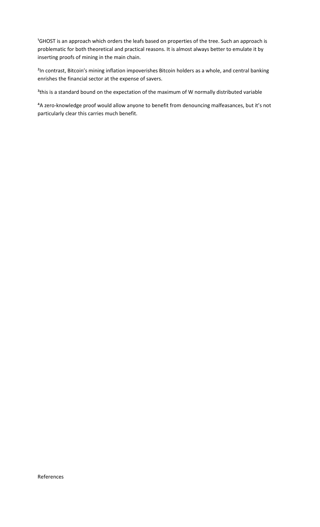<sup>1</sup>GHOST is an approach which orders the leafs based on properties of the tree. Such an approach is problematic for both theoretical and practical reasons. It is almost always better to emulate it by inserting proofs of mining in the main chain.

<sup>2</sup>In contrast, Bitcoin's mining inflation impoverishes Bitcoin holders as a whole, and central banking enrishes the financial sector at the expense of savers.

<sup>3</sup>this is a standard bound on the expectation of the maximum of W normally distributed variable

<sup>4</sup>A zero-knowledge proof would allow anyone to benefit from denouncing malfeasances, but it's not particularly clear this carries much benefit.